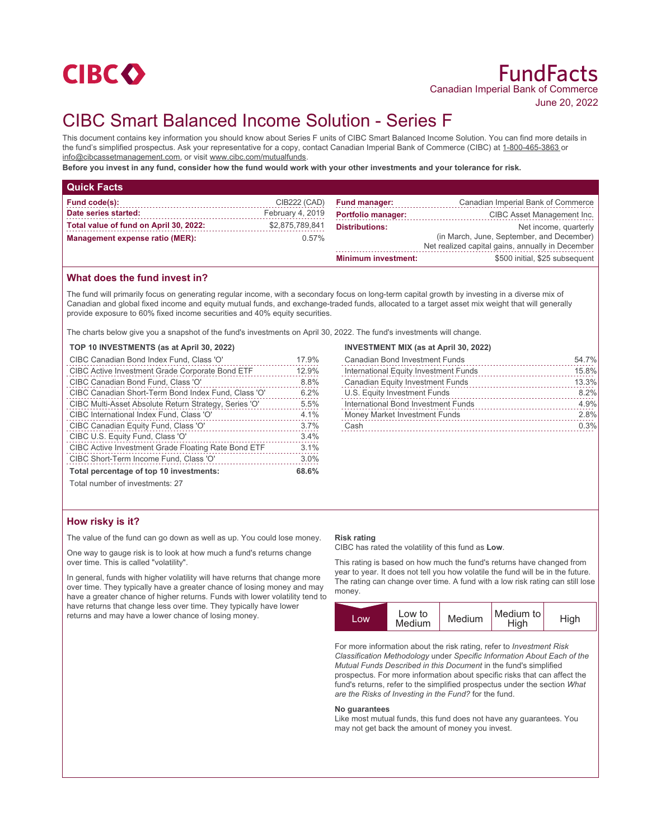

# CIBC Smart Balanced Income Solution - Series F

This document contains key information you should know about Series F units of CIBC Smart Balanced Income Solution. You can find more details in the fund's simplified prospectus. Ask your representative for a copy, contact Canadian Imperial Bank of Commerce (CIBC) at 1-800-465-3863 or info@cibcassetmanagement.com, or visit www.cibc.com/mutualfunds.

**Before you invest in any fund, consider how the fund would work with your other investments and your tolerance for risk.**

| <b>Quick Facts</b>                     |                  |                            |                                                                                               |
|----------------------------------------|------------------|----------------------------|-----------------------------------------------------------------------------------------------|
| Fund code(s):                          | CIB222 (CAD)     | <b>Fund manager:</b>       | Canadian Imperial Bank of Commerce                                                            |
| Date series started:                   | February 4, 2019 | <b>Portfolio manager:</b>  | CIBC Asset Management Inc.                                                                    |
| Total value of fund on April 30, 2022: | \$2,875,789,841  | <b>Distributions:</b>      | Net income, quarterly                                                                         |
| Management expense ratio (MER):        | $0.57\%$         |                            | (in March, June, September, and December)<br>Net realized capital gains, annually in December |
|                                        |                  | <b>Minimum investment:</b> | \$500 initial, \$25 subsequent                                                                |

# **What does the fund invest in?**

The fund will primarily focus on generating regular income, with a secondary focus on long-term capital growth by investing in a diverse mix of Canadian and global fixed income and equity mutual funds, and exchange-traded funds, allocated to a target asset mix weight that will generally provide exposure to 60% fixed income securities and 40% equity securities.

April 30, 2022. The fund's investments will change.

| Total percentage of top 10 investments:                                 | 68.6% |
|-------------------------------------------------------------------------|-------|
| CIBC Short-Term Income Fund, Class 'O'                                  | 3.0%  |
| CIBC Active Investment Grade Floating Rate Bond ETF                     | 3.1%  |
| CIBC U.S. Equity Fund, Class 'O'                                        | 3.4%  |
| CIBC Canadian Equity Fund, Class 'O'                                    | 3.7%  |
| CIBC International Index Fund, Class 'O'                                | 4.1%  |
| CIBC Multi-Asset Absolute Return Strategy, Series 'O'                   | 5.5%  |
| CIBC Canadian Short-Term Bond Index Fund, Class 'O'                     | 6.2%  |
| CIBC Canadian Bond Fund, Class 'O'                                      | 8.8%  |
| CIBC Active Investment Grade Corporate Bond ETF                         | 12.9% |
| CIBC Canadian Bond Index Fund, Class 'O'                                | 17.9% |
| TOP 10 INVESTMENTS (as at April 30, 2022)                               |       |
| The charts below give you a snapshot of the fund's investments on April |       |

### **INVESTMENT MIX (as at April 30, 2022)**

| <b>Canadian Bond Investment Funds</b>   | 54.7% |
|-----------------------------------------|-------|
| International Equity Investment Funds   | 15.8% |
| <b>Canadian Equity Investment Funds</b> | 13.3% |
| U.S. Equity Investment Funds            | 8.2%  |
| International Bond Investment Funds     | 4.9%  |
| Money Market Investment Funds           | 2.8%  |
| Cash                                    | 0.3%  |
|                                         |       |

Total number of investments: 27

# **How risky is it?**

The value of the fund can go down as well as up. You could lose money.

One way to gauge risk is to look at how much a fund's returns change over time. This is called "volatility".

In general, funds with higher volatility will have returns that change more over time. They typically have a greater chance of losing money and may have a greater chance of higher returns. Funds with lower volatility tend to have returns that change less over time. They typically have lower returns and may have a lower chance of losing money.

#### **Risk rating**

CIBC has rated the volatility of this fund as **Low**.

This rating is based on how much the fund's returns have changed from year to year. It does not tell you how volatile the fund will be in the future. The rating can change over time. A fund with a low risk rating can still lose money.



For more information about the risk rating, refer to *Investment Risk Classification Methodology* under *Specific Information About Each of the Mutual Funds Described in this Document* in the fund's simplified prospectus. For more information about specific risks that can affect the fund's returns, refer to the simplified prospectus under the section *What are the Risks of Investing in the Fund?* for the fund.

#### **No guarantees**

Like most mutual funds, this fund does not have any guarantees. You may not get back the amount of money you invest.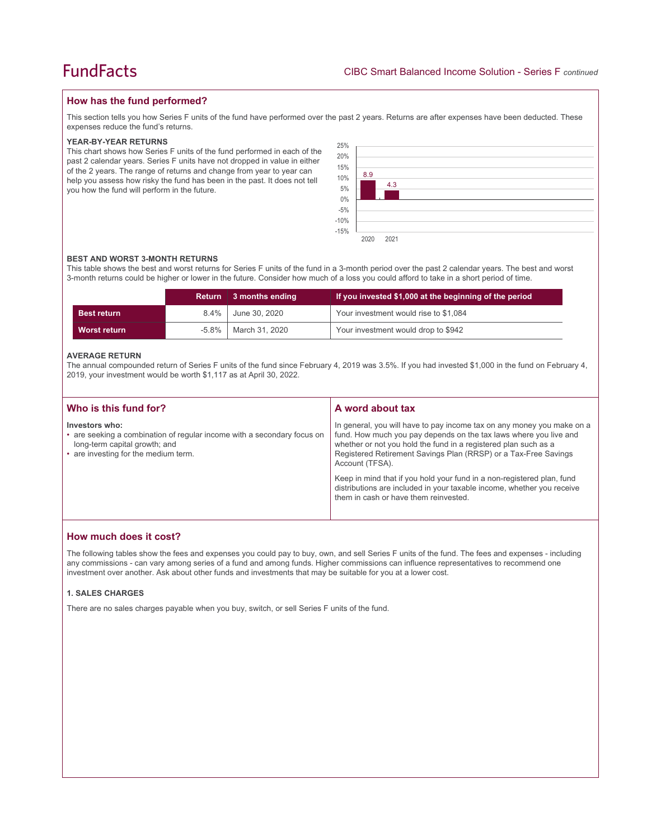# **How has the fund performed?**

This section tells you how Series F units of the fund have performed over the past 2 years. Returns are after expenses have been deducted. These expenses reduce the fund's returns.

#### **YEAR-BY-YEAR RETURNS**

This chart shows how Series F units of the fund performed in each of the past 2 calendar years. Series F units have not dropped in value in either of the 2 years. The range of returns and change from year to year can help you assess how risky the fund has been in the past. It does not tell you how the fund will perform in the future.

| 25%<br>20%       |      |      |  |  |  |  |
|------------------|------|------|--|--|--|--|
| 15%              |      |      |  |  |  |  |
| 10%              | 8.9  |      |  |  |  |  |
| 5%<br>$0\%$      |      | 4.3  |  |  |  |  |
| $-5%$            |      |      |  |  |  |  |
| $-10%$<br>$-15%$ |      |      |  |  |  |  |
|                  | 2020 | 2021 |  |  |  |  |

#### **BEST AND WORST 3-MONTH RETURNS**

This table shows the best and worst returns for Series F units of the fund in a 3-month period over the past 2 calendar years. The best and worst 3-month returns could be higher or lower in the future. Consider how much of a loss you could afford to take in a short period of time.

|                     |         | Return 3 months ending | If you invested \$1,000 at the beginning of the period |
|---------------------|---------|------------------------|--------------------------------------------------------|
| <b>Best return</b>  | $8.4\%$ | June 30, 2020          | Your investment would rise to \$1,084                  |
| <b>Worst return</b> | -5.8%   | March 31, 2020         | Your investment would drop to \$942                    |

#### **AVERAGE RETURN**

The annual compounded return of Series F units of the fund since February 4, 2019 was 3.5%. If you had invested \$1,000 in the fund on February 4, 2019, your investment would be worth \$1,117 as at April 30, 2022.

| Who is this fund for?                                                                                                                                              | A word about tax                                                                                                                                                                                                                                                                                                                                                                                                                                                                                  |
|--------------------------------------------------------------------------------------------------------------------------------------------------------------------|---------------------------------------------------------------------------------------------------------------------------------------------------------------------------------------------------------------------------------------------------------------------------------------------------------------------------------------------------------------------------------------------------------------------------------------------------------------------------------------------------|
| Investors who:<br>• are seeking a combination of regular income with a secondary focus on<br>long-term capital growth; and<br>• are investing for the medium term. | In general, you will have to pay income tax on any money you make on a<br>fund. How much you pay depends on the tax laws where you live and<br>whether or not you hold the fund in a registered plan such as a<br>Registered Retirement Savings Plan (RRSP) or a Tax-Free Savings<br>Account (TFSA).<br>Keep in mind that if you hold your fund in a non-registered plan, fund<br>distributions are included in your taxable income, whether you receive<br>them in cash or have them reinvested. |
|                                                                                                                                                                    |                                                                                                                                                                                                                                                                                                                                                                                                                                                                                                   |

# **How much does it cost?**

The following tables show the fees and expenses you could pay to buy, own, and sell Series F units of the fund. The fees and expenses - including any commissions - can vary among series of a fund and among funds. Higher commissions can influence representatives to recommend one investment over another. Ask about other funds and investments that may be suitable for you at a lower cost.

### **1. SALES CHARGES**

There are no sales charges payable when you buy, switch, or sell Series F units of the fund.